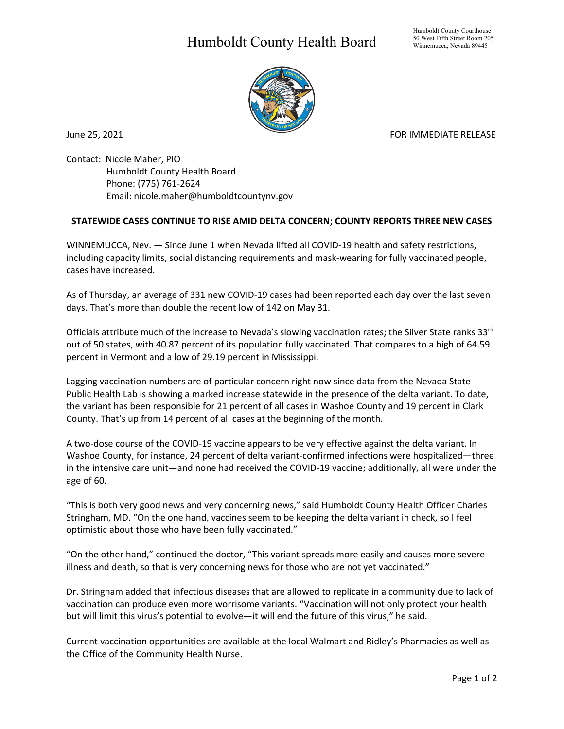## Humboldt County Health Board



June 25, 2021 **FOR IMMEDIATE RELEASE** 

Contact: Nicole Maher, PIO Humboldt County Health Board Phone: (775) 761-2624 Email: nicole.maher@humboldtcountynv.gov

## **STATEWIDE CASES CONTINUE TO RISE AMID DELTA CONCERN; COUNTY REPORTS THREE NEW CASES**

WINNEMUCCA, Nev. — Since June 1 when Nevada lifted all COVID-19 health and safety restrictions, including capacity limits, social distancing requirements and mask-wearing for fully vaccinated people, cases have increased.

As of Thursday, an average of 331 new COVID-19 cases had been reported each day over the last seven days. That's more than double the recent low of 142 on May 31.

Officials attribute much of the increase to Nevada's slowing vaccination rates; the Silver State ranks 33rd out of 50 states, with 40.87 percent of its population fully vaccinated. That compares to a high of 64.59 percent in Vermont and a low of 29.19 percent in Mississippi.

Lagging vaccination numbers are of particular concern right now since data from the Nevada State Public Health Lab is showing a marked increase statewide in the presence of the delta variant. To date, the variant has been responsible for 21 percent of all cases in Washoe County and 19 percent in Clark County. That's up from 14 percent of all cases at the beginning of the month.

A two-dose course of the COVID-19 vaccine appears to be very effective against the delta variant. In Washoe County, for instance, 24 percent of delta variant-confirmed infections were hospitalized—three in the intensive care unit—and none had received the COVID-19 vaccine; additionally, all were under the age of 60.

"This is both very good news and very concerning news," said Humboldt County Health Officer Charles Stringham, MD. "On the one hand, vaccines seem to be keeping the delta variant in check, so I feel optimistic about those who have been fully vaccinated."

"On the other hand," continued the doctor, "This variant spreads more easily and causes more severe illness and death, so that is very concerning news for those who are not yet vaccinated."

Dr. Stringham added that infectious diseases that are allowed to replicate in a community due to lack of vaccination can produce even more worrisome variants. "Vaccination will not only protect your health but will limit this virus's potential to evolve—it will end the future of this virus," he said.

Current vaccination opportunities are available at the local Walmart and Ridley's Pharmacies as well as the Office of the Community Health Nurse.